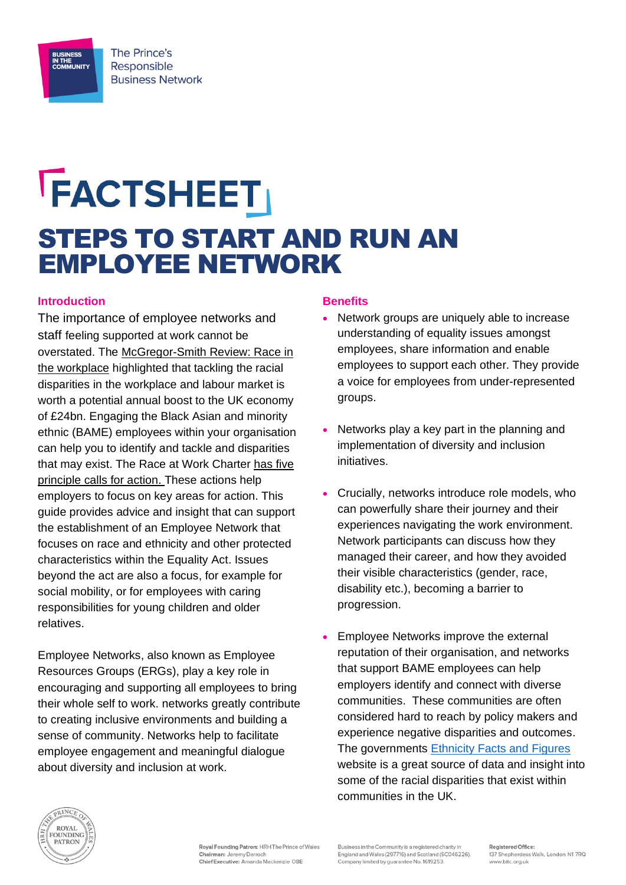

# **FACTSHEET** STEPS TO START AND RUN AN EMPLOYEE NETWORK

#### **Introduction**

The importance of employee networks and staff feeling supported at work cannot be overstated. The [McGregor-Smith Review: Race in](https://assets.publishing.service.gov.uk/government/uploads/system/uploads/attachment_data/file/594336/race-in-workplace-mcgregor-smith-review.pdf)  [the workplace](https://assets.publishing.service.gov.uk/government/uploads/system/uploads/attachment_data/file/594336/race-in-workplace-mcgregor-smith-review.pdf) highlighted that tackling the racial disparities in the workplace and labour market is worth a potential annual boost to the UK economy of £24bn. Engaging the Black Asian and minority ethnic (BAME) employees within your organisation can help you to identify and tackle and disparities that may exist. The Race at Work Charter has five [principle calls for action.](https://www.bitc.org.uk/race/) These actions help employers to focus on key areas for action. This guide provides advice and insight that can support the establishment of an Employee Network that focuses on race and ethnicity and other protected characteristics within the Equality Act. Issues beyond the act are also a focus, for example for social mobility, or for employees with caring responsibilities for young children and older relatives.

Employee Networks, also known as Employee Resources Groups (ERGs), play a key role in encouraging and supporting all employees to bring their whole self to work. networks greatly contribute to creating inclusive environments and building a sense of community. Networks help to facilitate employee engagement and meaningful dialogue about diversity and inclusion at work.

#### **Benefits**

- Network groups are uniquely able to increase understanding of equality issues amongst employees, share information and enable employees to support each other. They provide a voice for employees from under-represented groups.
- Networks play a key part in the planning and implementation of diversity and inclusion initiatives.
- Crucially, networks introduce role models, who can powerfully share their journey and their experiences navigating the work environment. Network participants can discuss how they managed their career, and how they avoided their visible characteristics (gender, race, disability etc.), becoming a barrier to progression.
- Employee Networks improve the external reputation of their organisation, and networks that support BAME employees can help employers identify and connect with diverse communities. These communities are often considered hard to reach by policy makers and experience negative disparities and outcomes. The governments [Ethnicity Facts and Figures](https://www.ethnicity-facts-figures.service.gov.uk/) website is a great source of data and insight into some of the racial disparities that exist within communities in the UK.



Business in the Community is a registered charity i England and Wales (297716) and Scotland (SC046226).<br>Company limited by guarantee No. 1619253.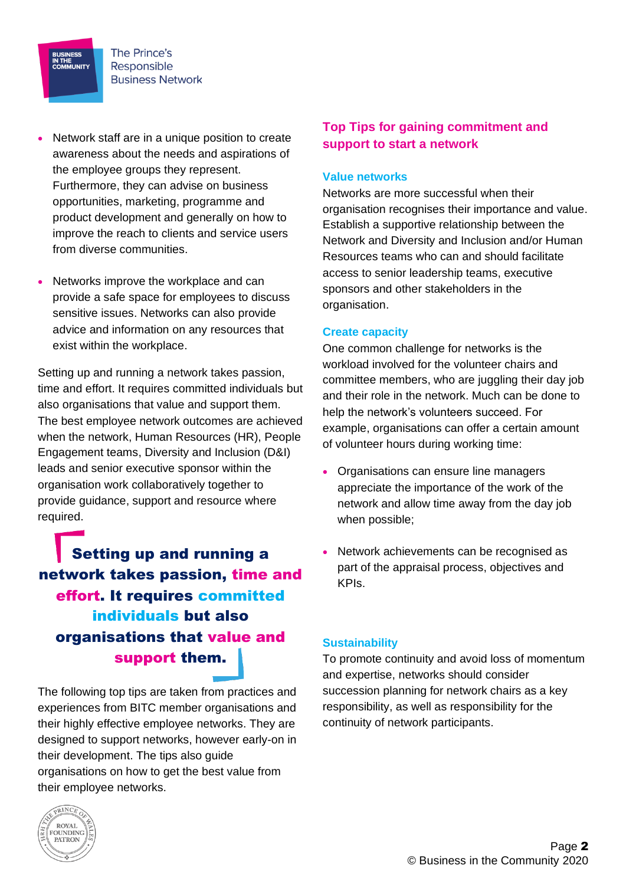

**BUSINESS<br>IN THE<br>COMMUNITY** 

- Network staff are in a unique position to create awareness about the needs and aspirations of the employee groups they represent. Furthermore, they can advise on business opportunities, marketing, programme and product development and generally on how to improve the reach to clients and service users from diverse communities.
- Networks improve the workplace and can provide a safe space for employees to discuss sensitive issues. Networks can also provide advice and information on any resources that exist within the workplace.

Setting up and running a network takes passion, time and effort. It requires committed individuals but also organisations that value and support them. The best employee network outcomes are achieved when the network, Human Resources (HR), People Engagement teams, Diversity and Inclusion (D&I) leads and senior executive sponsor within the organisation work collaboratively together to provide guidance, support and resource where required.

Setting up and running a network takes passion, time and effort. It requires committed individuals but also organisations that value and support them.

The following top tips are taken from practices and experiences from BITC member organisations and their highly effective employee networks. They are designed to support networks, however early-on in their development. The tips also guide organisations on how to get the best value from their employee networks.

## **Top Tips for gaining commitment and support to start a network**

#### **Value networks**

Networks are more successful when their organisation recognises their importance and value. Establish a supportive relationship between the Network and Diversity and Inclusion and/or Human Resources teams who can and should facilitate access to senior leadership teams, executive sponsors and other stakeholders in the organisation.

#### **Create capacity**

One common challenge for networks is the workload involved for the volunteer chairs and committee members, who are juggling their day job and their role in the network. Much can be done to help the network's volunteers succeed. For example, organisations can offer a certain amount of volunteer hours during working time:

- Organisations can ensure line managers appreciate the importance of the work of the network and allow time away from the day job when possible;
- Network achievements can be recognised as part of the appraisal process, objectives and KPIs.

#### **Sustainability**

To promote continuity and avoid loss of momentum and expertise, networks should consider succession planning for network chairs as a key responsibility, as well as responsibility for the continuity of network participants.

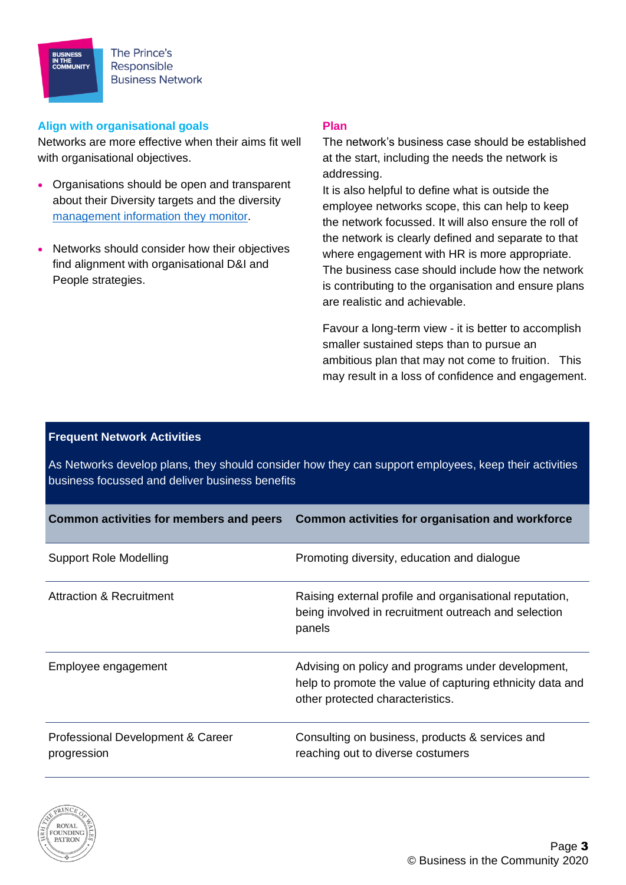The Prince's Responsible **Business Network** 

#### **Align with organisational goals**

**BUSINESS<br>IN THE<br>COMMUNITY** 

Networks are more effective when their aims fit well with organisational objectives.

- Organisations should be open and transparent about their Diversity targets and the diversity [management information they monitor.](https://www.bitc.org.uk/capturing-ethnicity-data/)
- Networks should consider how their objectives find alignment with organisational D&I and People strategies.

#### **Plan**

The network's business case should be established at the start, including the needs the network is addressing.

It is also helpful to define what is outside the employee networks scope, this can help to keep the network focussed. It will also ensure the roll of the network is clearly defined and separate to that where engagement with HR is more appropriate. The business case should include how the network is contributing to the organisation and ensure plans are realistic and achievable.

Favour a long-term view - it is better to accomplish smaller sustained steps than to pursue an ambitious plan that may not come to fruition. This may result in a loss of confidence and engagement.

#### **Frequent Network Activities**

As Networks develop plans, they should consider how they can support employees, keep their activities business focussed and deliver business benefits

| <b>Common activities for members and peers</b>   | Common activities for organisation and workforce                                                                                                    |
|--------------------------------------------------|-----------------------------------------------------------------------------------------------------------------------------------------------------|
| Support Role Modelling                           | Promoting diversity, education and dialogue                                                                                                         |
| <b>Attraction &amp; Recruitment</b>              | Raising external profile and organisational reputation,<br>being involved in recruitment outreach and selection<br>panels                           |
| Employee engagement                              | Advising on policy and programs under development,<br>help to promote the value of capturing ethnicity data and<br>other protected characteristics. |
| Professional Development & Career<br>progression | Consulting on business, products & services and<br>reaching out to diverse costumers                                                                |

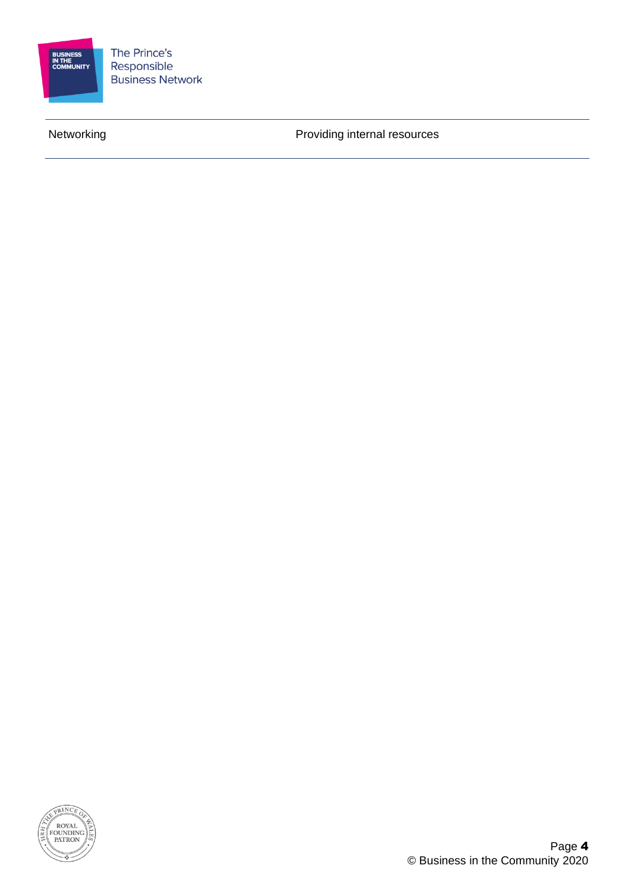

The Prince's Responsible **Business Network** 

Networking **Networking Networking Networking** 

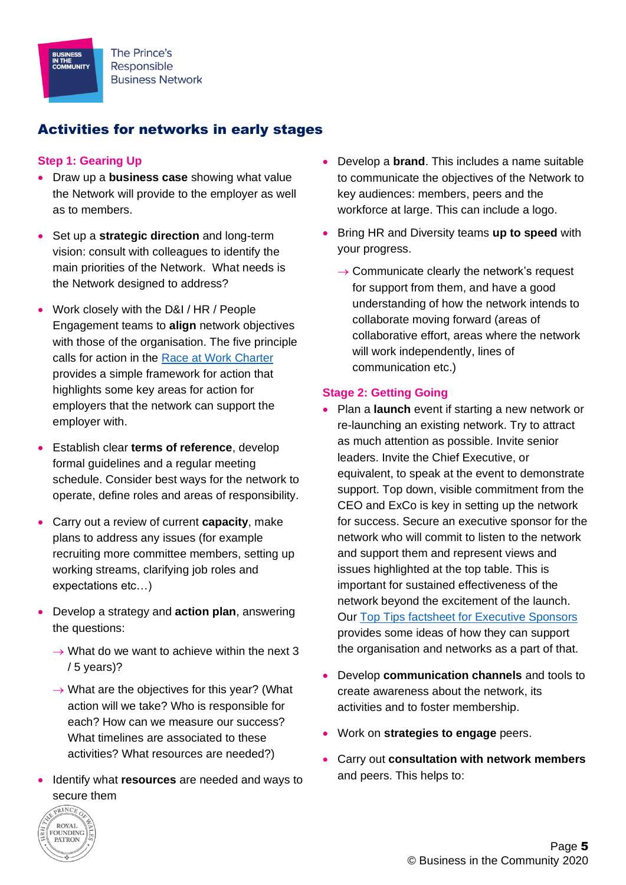# Activities for networks in early stages

## **Step 1: Gearing Up**

**BUSINESS<br>IN THE<br>COMMUNITY** 

- Draw up a **business case** showing what value the Network will provide to the employer as well as to members.
- Set up a **strategic direction** and long-term vision: consult with colleagues to identify the main priorities of the Network. What needs is the Network designed to address?
- Work closely with the D&I / HR / People Engagement teams to **align** network objectives with those of the organisation. The five principle calls for action in the [Race at Work Charter](https://www.bitc.org.uk/race/) provides a simple framework for action that highlights some key areas for action for employers that the network can support the employer with.
- Establish clear **terms of reference**, develop formal guidelines and a regular meeting schedule. Consider best ways for the network to operate, define roles and areas of responsibility.
- Carry out a review of current **capacity**, make plans to address any issues (for example recruiting more committee members, setting up working streams, clarifying job roles and expectations etc…)
- Develop a strategy and **action plan**, answering the questions:
	- $\rightarrow$  What do we want to achieve within the next 3 / 5 years)?
	- $\rightarrow$  What are the objectives for this year? (What action will we take? Who is responsible for each? How can we measure our success? What timelines are associated to these activities? What resources are needed?)
- Identify what **resources** are needed and ways to secure them
- Develop a **brand**. This includes a name suitable to communicate the objectives of the Network to key audiences: members, peers and the workforce at large. This can include a logo.
- Bring HR and Diversity teams **up to speed** with your progress.
	- $\rightarrow$  Communicate clearly the network's request for support from them, and have a good understanding of how the network intends to collaborate moving forward (areas of collaborative effort, areas where the network will work independently, lines of communication etc.)

#### **Stage 2: Getting Going**

- Plan a **launch** event if starting a new network or re-launching an existing network. Try to attract as much attention as possible. Invite senior leaders. Invite the Chief Executive, or equivalent, to speak at the event to demonstrate support. Top down, visible commitment from the CEO and ExCo is key in setting up the network for success. Secure an executive sponsor for the network who will commit to listen to the network and support them and represent views and issues highlighted at the top table. This is important for sustained effectiveness of the network beyond the excitement of the launch. Our [Top Tips factsheet for Executive Sponsors](https://www.bitc.org.uk/fact-sheet/race-at-work-charter-executive-sponsors-top-tips-to-become-a-visible-leader-on-ethnicity/) provides some ideas of how they can support the organisation and networks as a part of that.
- Develop **communication channels** and tools to create awareness about the network, its activities and to foster membership.
- Work on **strategies to engage** peers.
- Carry out **consultation with network members** and peers. This helps to: